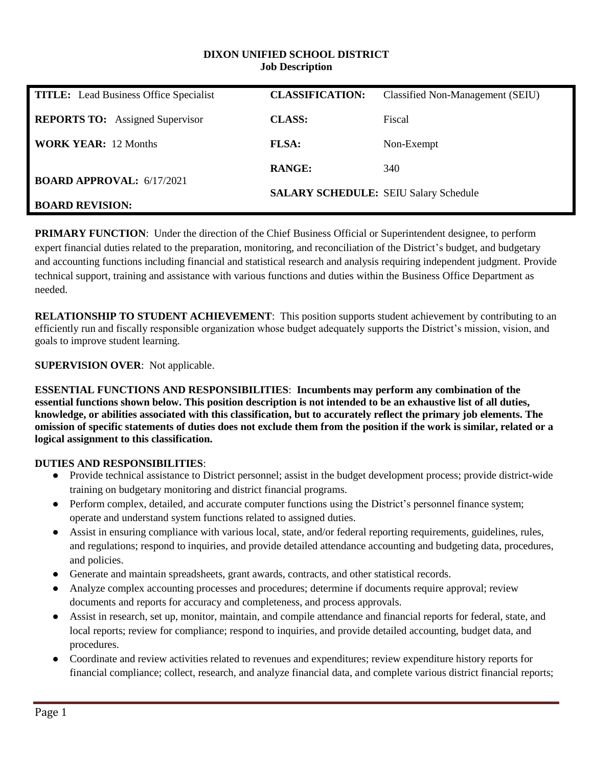#### **DIXON UNIFIED SCHOOL DISTRICT Job Description**

| <b>TITLE:</b> Lead Business Office Specialist | <b>CLASSIFICATION:</b>                       | Classified Non-Management (SEIU) |
|-----------------------------------------------|----------------------------------------------|----------------------------------|
| <b>REPORTS TO:</b> Assigned Supervisor        | <b>CLASS:</b>                                | Fiscal                           |
| <b>WORK YEAR: 12 Months</b>                   | <b>FLSA:</b>                                 | Non-Exempt                       |
|                                               | <b>RANGE:</b>                                | 340                              |
| <b>BOARD APPROVAL: 6/17/2021</b>              | <b>SALARY SCHEDULE: SEIU Salary Schedule</b> |                                  |
| <b>BOARD REVISION:</b>                        |                                              |                                  |

**PRIMARY FUNCTION**: Under the direction of the Chief Business Official or Superintendent designee, to perform expert financial duties related to the preparation, monitoring, and reconciliation of the District's budget, and budgetary and accounting functions including financial and statistical research and analysis requiring independent judgment. Provide technical support, training and assistance with various functions and duties within the Business Office Department as needed.

**RELATIONSHIP TO STUDENT ACHIEVEMENT**: This position supports student achievement by contributing to an efficiently run and fiscally responsible organization whose budget adequately supports the District's mission, vision, and goals to improve student learning.

**SUPERVISION OVER**: Not applicable.

**ESSENTIAL FUNCTIONS AND RESPONSIBILITIES**: **Incumbents may perform any combination of the essential functions shown below. This position description is not intended to be an exhaustive list of all duties, knowledge, or abilities associated with this classification, but to accurately reflect the primary job elements. The omission of specific statements of duties does not exclude them from the position if the work is similar, related or a logical assignment to this classification.**

### **DUTIES AND RESPONSIBILITIES**:

- Provide technical assistance to District personnel; assist in the budget development process; provide district-wide training on budgetary monitoring and district financial programs.
- Perform complex, detailed, and accurate computer functions using the District's personnel finance system; operate and understand system functions related to assigned duties.
- Assist in ensuring compliance with various local, state, and/or federal reporting requirements, guidelines, rules, and regulations; respond to inquiries, and provide detailed attendance accounting and budgeting data, procedures, and policies.
- Generate and maintain spreadsheets, grant awards, contracts, and other statistical records.
- Analyze complex accounting processes and procedures; determine if documents require approval; review documents and reports for accuracy and completeness, and process approvals.
- Assist in research, set up, monitor, maintain, and compile attendance and financial reports for federal, state, and local reports; review for compliance; respond to inquiries, and provide detailed accounting, budget data, and procedures.
- Coordinate and review activities related to revenues and expenditures; review expenditure history reports for financial compliance; collect, research, and analyze financial data, and complete various district financial reports;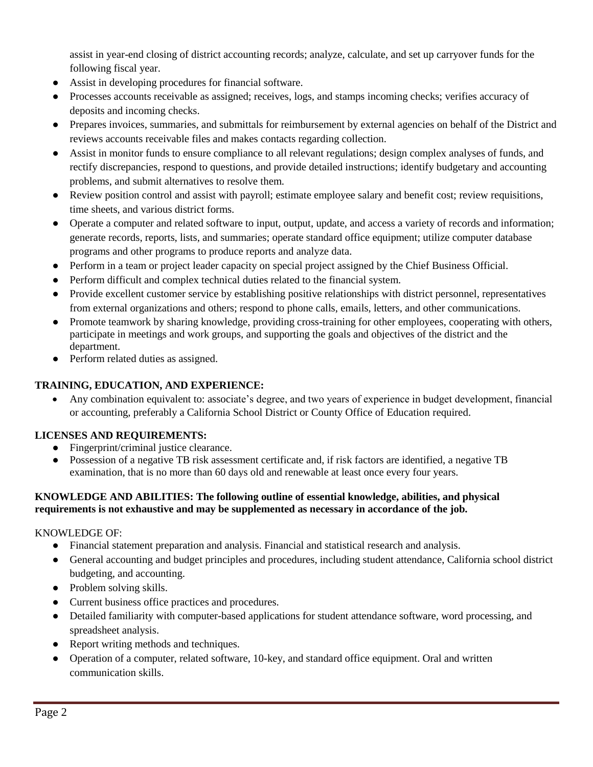assist in year-end closing of district accounting records; analyze, calculate, and set up carryover funds for the following fiscal year.

- Assist in developing procedures for financial software.
- Processes accounts receivable as assigned; receives, logs, and stamps incoming checks; verifies accuracy of deposits and incoming checks.
- Prepares invoices, summaries, and submittals for reimbursement by external agencies on behalf of the District and reviews accounts receivable files and makes contacts regarding collection.
- Assist in monitor funds to ensure compliance to all relevant regulations; design complex analyses of funds, and rectify discrepancies, respond to questions, and provide detailed instructions; identify budgetary and accounting problems, and submit alternatives to resolve them.
- Review position control and assist with payroll; estimate employee salary and benefit cost; review requisitions, time sheets, and various district forms.
- Operate a computer and related software to input, output, update, and access a variety of records and information; generate records, reports, lists, and summaries; operate standard office equipment; utilize computer database programs and other programs to produce reports and analyze data.
- Perform in a team or project leader capacity on special project assigned by the Chief Business Official.
- Perform difficult and complex technical duties related to the financial system.
- Provide excellent customer service by establishing positive relationships with district personnel, representatives from external organizations and others; respond to phone calls, emails, letters, and other communications.
- Promote teamwork by sharing knowledge, providing cross-training for other employees, cooperating with others, participate in meetings and work groups, and supporting the goals and objectives of the district and the department.
- Perform related duties as assigned.

## **TRAINING, EDUCATION, AND EXPERIENCE:**

 Any combination equivalent to: associate's degree, and two years of experience in budget development, financial or accounting, preferably a California School District or County Office of Education required.

### **LICENSES AND REQUIREMENTS:**

- Fingerprint/criminal justice clearance.
- Possession of a negative TB risk assessment certificate and, if risk factors are identified, a negative TB examination, that is no more than 60 days old and renewable at least once every four years.

### **KNOWLEDGE AND ABILITIES: The following outline of essential knowledge, abilities, and physical requirements is not exhaustive and may be supplemented as necessary in accordance of the job.**

### KNOWLEDGE OF:

- Financial statement preparation and analysis. Financial and statistical research and analysis.
- General accounting and budget principles and procedures, including student attendance, California school district budgeting, and accounting.
- Problem solving skills.
- Current business office practices and procedures.
- Detailed familiarity with computer-based applications for student attendance software, word processing, and spreadsheet analysis.
- Report writing methods and techniques.
- Operation of a computer, related software, 10-key, and standard office equipment. Oral and written communication skills.